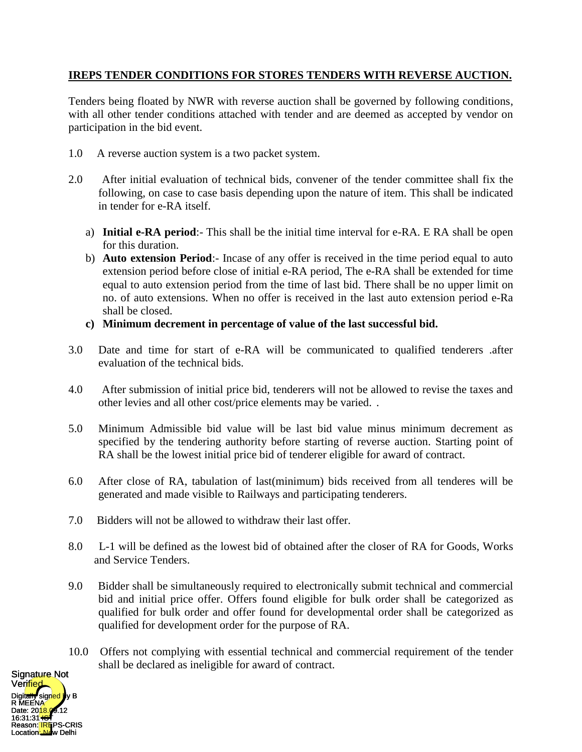## **IREPS TENDER CONDITIONS FOR STORES TENDERS WITH REVERSE AUCTION.**

Tenders being floated by NWR with reverse auction shall be governed by following conditions, with all other tender conditions attached with tender and are deemed as accepted by vendor on participation in the bid event.

- 1.0 A reverse auction system is a two packet system.
- 2.0 After initial evaluation of technical bids, convener of the tender committee shall fix the following, on case to case basis depending upon the nature of item. This shall be indicated in tender for e-RA itself.
	- a) **Initial e-RA period**:- This shall be the initial time interval for e-RA. E RA shall be open for this duration.
	- b) **Auto extension Period**:- Incase of any offer is received in the time period equal to auto extension period before close of initial e-RA period, The e-RA shall be extended for time equal to auto extension period from the time of last bid. There shall be no upper limit on no. of auto extensions. When no offer is received in the last auto extension period e-Ra shall be closed.
	- **c) Minimum decrement in percentage of value of the last successful bid.**
- 3.0 Date and time for start of e-RA will be communicated to qualified tenderers .after evaluation of the technical bids.
- 4.0 After submission of initial price bid, tenderers will not be allowed to revise the taxes and other levies and all other cost/price elements may be varied. .
- 5.0 Minimum Admissible bid value will be last bid value minus minimum decrement as specified by the tendering authority before starting of reverse auction. Starting point of RA shall be the lowest initial price bid of tenderer eligible for award of contract.
- 6.0 After close of RA, tabulation of last(minimum) bids received from all tenderes will be generated and made visible to Railways and participating tenderers.
- 7.0 Bidders will not be allowed to withdraw their last offer.
- 8.0 L-1 will be defined as the lowest bid of obtained after the closer of RA for Goods, Works and Service Tenders.
- 9.0 Bidder shall be simultaneously required to electronically submit technical and commercial bid and initial price offer. Offers found eligible for bulk order shall be categorized as qualified for bulk order and offer found for developmental order shall be categorized as qualified for development order for the purpose of RA.
- 10.0 Offers not complying with essential technical and commercial requirement of the tender shall be declared as ineligible for award of contract.

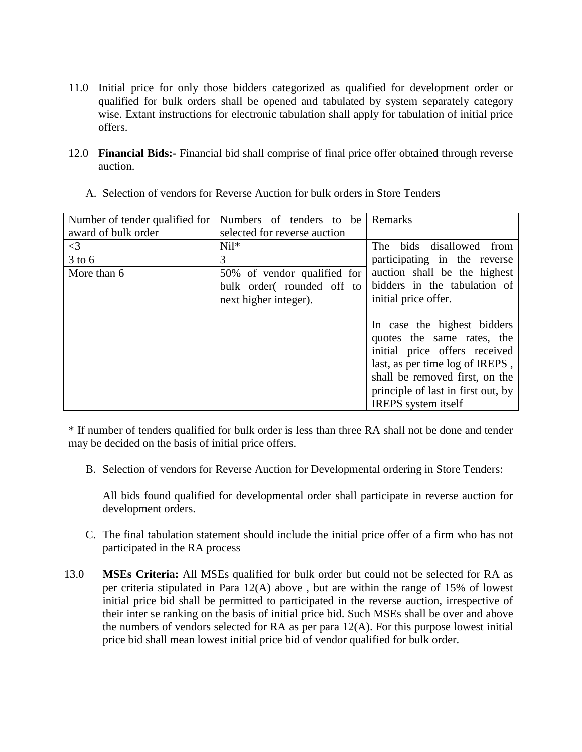- 11.0 Initial price for only those bidders categorized as qualified for development order or qualified for bulk orders shall be opened and tabulated by system separately category wise. Extant instructions for electronic tabulation shall apply for tabulation of initial price offers.
- 12.0 **Financial Bids:-** Financial bid shall comprise of final price offer obtained through reverse auction.

| Number of tender qualified for | Numbers of tenders to be     | Remarks                            |
|--------------------------------|------------------------------|------------------------------------|
| award of bulk order            | selected for reverse auction |                                    |
| $\leq$ 3                       | $Nil*$                       | bids disallowed from<br><b>The</b> |
| $3$ to 6                       | 3                            | participating in the reverse       |
| More than 6                    | 50% of vendor qualified for  | auction shall be the highest       |
|                                | bulk order(rounded off to    | bidders in the tabulation of       |
|                                | next higher integer).        | initial price offer.               |
|                                |                              |                                    |
|                                |                              | In case the highest bidders        |
|                                |                              | quotes the same rates, the         |
|                                |                              | initial price offers received      |
|                                |                              | last, as per time log of IREPS,    |
|                                |                              | shall be removed first, on the     |
|                                |                              | principle of last in first out, by |
|                                |                              | <b>IREPS</b> system itself         |

A. Selection of vendors for Reverse Auction for bulk orders in Store Tenders

\* If number of tenders qualified for bulk order is less than three RA shall not be done and tender may be decided on the basis of initial price offers.

B. Selection of vendors for Reverse Auction for Developmental ordering in Store Tenders:

All bids found qualified for developmental order shall participate in reverse auction for development orders.

- C. The final tabulation statement should include the initial price offer of a firm who has not participated in the RA process
- 13.0 **MSEs Criteria:** All MSEs qualified for bulk order but could not be selected for RA as per criteria stipulated in Para 12(A) above , but are within the range of 15% of lowest initial price bid shall be permitted to participated in the reverse auction, irrespective of their inter se ranking on the basis of initial price bid. Such MSEs shall be over and above the numbers of vendors selected for RA as per para 12(A). For this purpose lowest initial price bid shall mean lowest initial price bid of vendor qualified for bulk order.